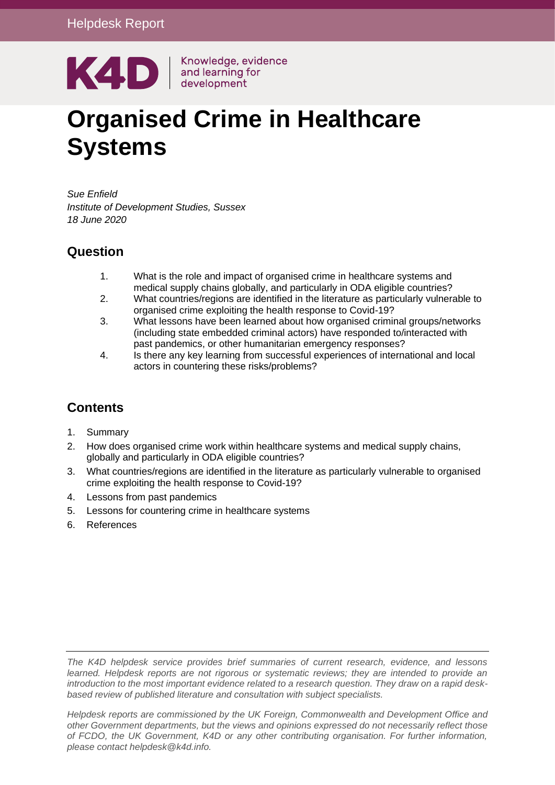

# **Organised Crime in Healthcare Systems**

*Sue Enfield Institute of Development Studies, Sussex 18 June 2020* 

#### **Question**

- 1. What is the role and impact of organised crime in healthcare systems and medical supply chains globally, and particularly in ODA eligible countries?
- 2. What countries/regions are identified in the literature as particularly vulnerable to organised crime exploiting the health response to Covid-19?
- 3. What lessons have been learned about how organised criminal groups/networks (including state embedded criminal actors) have responded to/interacted with past pandemics, or other humanitarian emergency responses?
- 4. Is there any key learning from successful experiences of international and local actors in countering these risks/problems?

#### **Contents**

- 1. [Summary](#page-1-0)
- 2. [How does organised crime work within healthcare systems and medical supply chains,](#page-2-0)  [globally and particularly in ODA eligible countries?](#page-2-0)
- 3. [What countries/regions are identified in the literature as particularly vulnerable to organised](#page-6-0)  [crime exploiting the health response to Covid-19?](#page-6-0)
- 4. [Lessons from past pandemics](#page-10-0)
- 5. [Lessons for countering crime in healthcare systems](#page-11-0)
- 6. [References](#page-16-0)

*The K4D helpdesk service provides brief summaries of current research, evidence, and lessons learned. Helpdesk reports are not rigorous or systematic reviews; they are intended to provide an introduction to the most important evidence related to a research question. They draw on a rapid deskbased review of published literature and consultation with subject specialists.* 

*Helpdesk reports are commissioned by the UK Foreign, Commonwealth and Development Office and other Government departments, but the views and opinions expressed do not necessarily reflect those of FCDO, the UK Government, K4D or any other contributing organisation. For further information, please contact helpdesk@k4d.info.*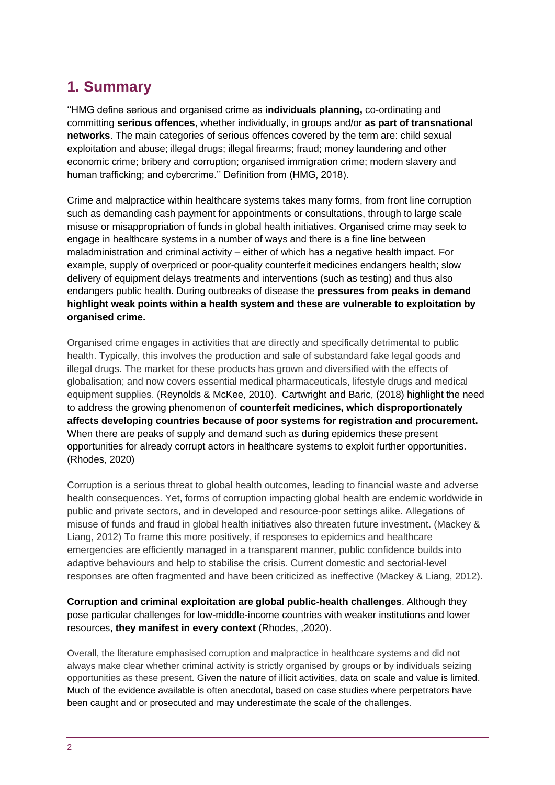# <span id="page-1-0"></span>**1. Summary**

''HMG define serious and organised crime as **individuals planning,** co-ordinating and committing **serious offences**, whether individually, in groups and/or **as part of transnational networks**. The main categories of serious offences covered by the term are: child sexual exploitation and abuse; illegal drugs; illegal firearms; fraud; money laundering and other economic crime; bribery and corruption; organised immigration crime; modern slavery and human trafficking; and cybercrime.'' Definition from (HMG, 2018).

Crime and malpractice within healthcare systems takes many forms, from front line corruption such as demanding cash payment for appointments or consultations, through to large scale misuse or misappropriation of funds in global health initiatives. Organised crime may seek to engage in healthcare systems in a number of ways and there is a fine line between maladministration and criminal activity – either of which has a negative health impact. For example, supply of overpriced or poor-quality counterfeit medicines endangers health; slow delivery of equipment delays treatments and interventions (such as testing) and thus also endangers public health. During outbreaks of disease the **pressures from peaks in demand highlight weak points within a health system and these are vulnerable to exploitation by organised crime.**

Organised crime engages in activities that are directly and specifically detrimental to public health. Typically, this involves the production and sale of substandard fake legal goods and illegal drugs. The market for these products has grown and diversified with the effects of globalisation; and now covers essential medical pharmaceuticals, lifestyle drugs and medical equipment supplies. (Reynolds & McKee, 2010). Cartwright and Baric, (2018) highlight the need to address the growing phenomenon of **counterfeit medicines, which disproportionately affects developing countries because of poor systems for registration and procurement.**  When there are peaks of supply and demand such as during epidemics these present opportunities for already corrupt actors in healthcare systems to exploit further opportunities. (Rhodes, 2020)

Corruption is a serious threat to global health outcomes, leading to financial waste and adverse health consequences. Yet, forms of corruption impacting global health are endemic worldwide in public and private sectors, and in developed and resource-poor settings alike. Allegations of misuse of funds and fraud in global health initiatives also threaten future investment. (Mackey & Liang, 2012) To frame this more positively, if responses to epidemics and healthcare emergencies are efficiently managed in a transparent manner, public confidence builds into adaptive behaviours and help to stabilise the crisis. Current domestic and sectorial-level responses are often fragmented and have been criticized as ineffective (Mackey & Liang, 2012).

**Corruption and criminal exploitation are global public-health challenges**. Although they pose particular challenges for low-middle-income countries with weaker institutions and lower resources, **they manifest in every context** (Rhodes, ,2020).

Overall, the literature emphasised corruption and malpractice in healthcare systems and did not always make clear whether criminal activity is strictly organised by groups or by individuals seizing opportunities as these present. Given the nature of illicit activities, data on scale and value is limited. Much of the evidence available is often anecdotal, based on case studies where perpetrators have been caught and or prosecuted and may underestimate the scale of the challenges.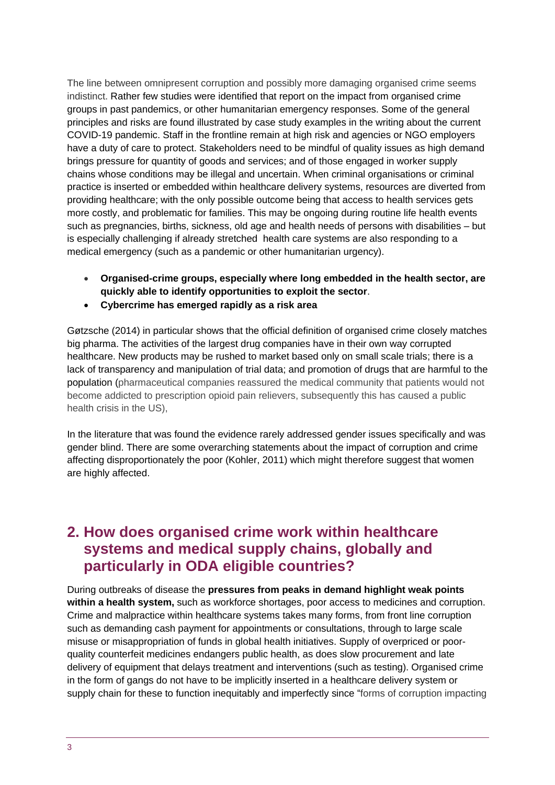The line between omnipresent corruption and possibly more damaging organised crime seems indistinct. Rather few studies were identified that report on the impact from organised crime groups in past pandemics, or other humanitarian emergency responses. Some of the general principles and risks are found illustrated by case study examples in the writing about the current COVID-19 pandemic. Staff in the frontline remain at high risk and agencies or NGO employers have a duty of care to protect. Stakeholders need to be mindful of quality issues as high demand brings pressure for quantity of goods and services; and of those engaged in worker supply chains whose conditions may be illegal and uncertain. When criminal organisations or criminal practice is inserted or embedded within healthcare delivery systems, resources are diverted from providing healthcare; with the only possible outcome being that access to health services gets more costly, and problematic for families. This may be ongoing during routine life health events such as pregnancies, births, sickness, old age and health needs of persons with disabilities – but is especially challenging if already stretched health care systems are also responding to a medical emergency (such as a pandemic or other humanitarian urgency).

- **Organised-crime groups, especially where long embedded in the health sector, are quickly able to identify opportunities to exploit the sector**.
- **Cybercrime has emerged rapidly as a risk area**

Gøtzsche (2014) in particular shows that the official definition of organised crime closely matches big pharma. The activities of the largest drug companies have in their own way corrupted healthcare. New products may be rushed to market based only on small scale trials; there is a lack of transparency and manipulation of trial data; and promotion of drugs that are harmful to the population (pharmaceutical companies reassured the medical community that patients would not become addicted to prescription opioid pain relievers, subsequently this has caused a public health crisis in the US),

In the literature that was found the evidence rarely addressed gender issues specifically and was gender blind. There are some overarching statements about the impact of corruption and crime affecting disproportionately the poor (Kohler, 2011) which might therefore suggest that women are highly affected.

# <span id="page-2-0"></span>**2. How does organised crime work within healthcare systems and medical supply chains, globally and particularly in ODA eligible countries?**

During outbreaks of disease the **pressures from peaks in demand highlight weak points within a health system,** such as workforce shortages, poor access to medicines and corruption. Crime and malpractice within healthcare systems takes many forms, from front line corruption such as demanding cash payment for appointments or consultations, through to large scale misuse or misappropriation of funds in global health initiatives. Supply of overpriced or poorquality counterfeit medicines endangers public health, as does slow procurement and late delivery of equipment that delays treatment and interventions (such as testing). Organised crime in the form of gangs do not have to be implicitly inserted in a healthcare delivery system or supply chain for these to function inequitably and imperfectly since "forms of corruption impacting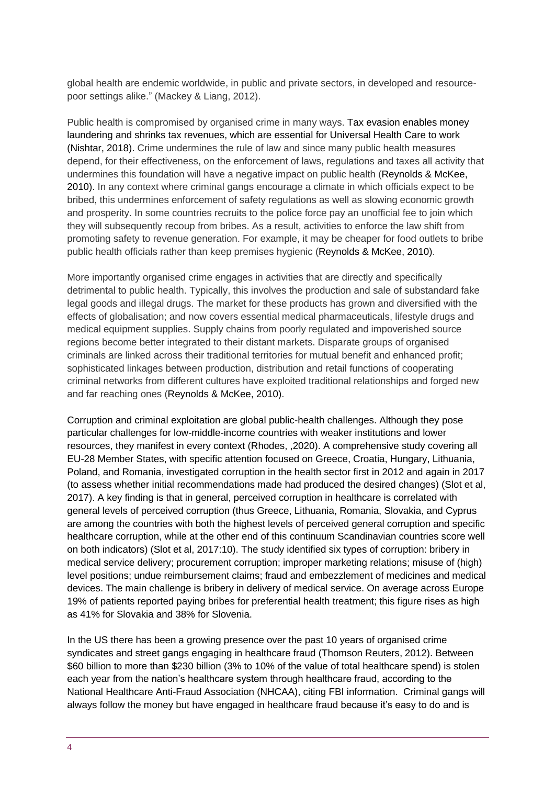global health are endemic worldwide, in public and private sectors, in developed and resourcepoor settings alike." (Mackey & Liang, 2012).

Public health is compromised by organised crime in many ways. Tax evasion enables money laundering and shrinks tax revenues, which are essential for Universal Health Care to work (Nishtar, 2018). Crime undermines the rule of law and since many public health measures depend, for their effectiveness, on the enforcement of laws, regulations and taxes all activity that undermines this foundation will have a negative impact on public health (Reynolds & McKee, 2010). In any context where criminal gangs encourage a climate in which officials expect to be bribed, this undermines enforcement of safety regulations as well as slowing economic growth and prosperity. In some countries recruits to the police force pay an unofficial fee to join which they will subsequently recoup from bribes. As a result, activities to enforce the law shift from promoting safety to revenue generation. For example, it may be cheaper for food outlets to bribe public health officials rather than keep premises hygienic (Reynolds & McKee, 2010).

More importantly organised crime engages in activities that are directly and specifically detrimental to public health. Typically, this involves the production and sale of substandard fake legal goods and illegal drugs. The market for these products has grown and diversified with the effects of globalisation; and now covers essential medical pharmaceuticals, lifestyle drugs and medical equipment supplies. Supply chains from poorly regulated and impoverished source regions become better integrated to their distant markets. Disparate groups of organised criminals are linked across their traditional territories for mutual benefit and enhanced profit; sophisticated linkages between production, distribution and retail functions of cooperating criminal networks from different cultures have exploited traditional relationships and forged new and far reaching ones (Reynolds & McKee, 2010).

Corruption and criminal exploitation are global public-health challenges. Although they pose particular challenges for low-middle-income countries with weaker institutions and lower resources, they manifest in every context (Rhodes, ,2020). A comprehensive study covering all EU-28 Member States, with specific attention focused on Greece, Croatia, Hungary, Lithuania, Poland, and Romania, investigated corruption in the health sector first in 2012 and again in 2017 (to assess whether initial recommendations made had produced the desired changes) (Slot et al, 2017). A key finding is that in general, perceived corruption in healthcare is correlated with general levels of perceived corruption (thus Greece, Lithuania, Romania, Slovakia, and Cyprus are among the countries with both the highest levels of perceived general corruption and specific healthcare corruption, while at the other end of this continuum Scandinavian countries score well on both indicators) (Slot et al, 2017:10). The study identified six types of corruption: bribery in medical service delivery; procurement corruption; improper marketing relations; misuse of (high) level positions; undue reimbursement claims; fraud and embezzlement of medicines and medical devices. The main challenge is bribery in delivery of medical service. On average across Europe 19% of patients reported paying bribes for preferential health treatment; this figure rises as high as 41% for Slovakia and 38% for Slovenia.

In the US there has been a growing presence over the past 10 years of organised crime syndicates and street gangs engaging in healthcare fraud (Thomson Reuters, 2012). Between \$60 billion to more than \$230 billion (3% to 10% of the value of total healthcare spend) is stolen each year from the nation's healthcare system through healthcare fraud, according to the National Healthcare Anti-Fraud Association (NHCAA), citing FBI information. Criminal gangs will always follow the money but have engaged in healthcare fraud because it's easy to do and is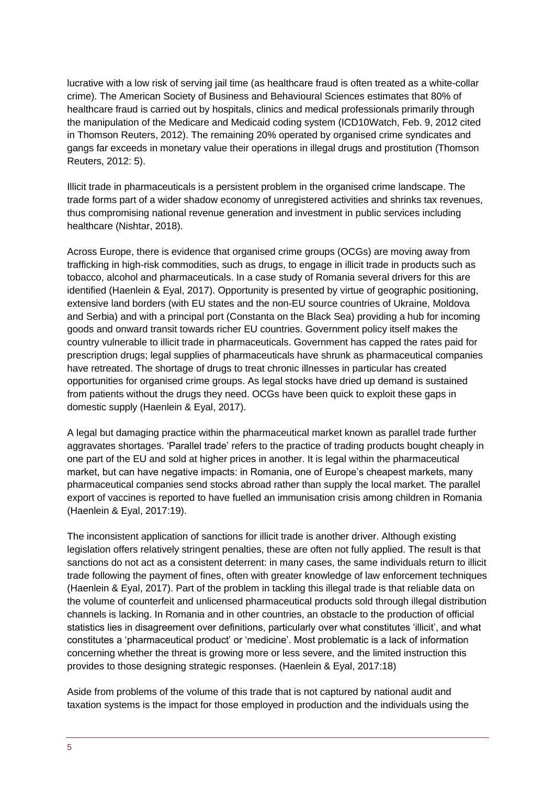lucrative with a low risk of serving jail time (as healthcare fraud is often treated as a white-collar crime). The American Society of Business and Behavioural Sciences estimates that 80% of healthcare fraud is carried out by hospitals, clinics and medical professionals primarily through the manipulation of the Medicare and Medicaid coding system (ICD10Watch, Feb. 9, 2012 cited in Thomson Reuters, 2012). The remaining 20% operated by organised crime syndicates and gangs far exceeds in monetary value their operations in illegal drugs and prostitution (Thomson Reuters, 2012: 5).

Illicit trade in pharmaceuticals is a persistent problem in the organised crime landscape. The trade forms part of a wider shadow economy of unregistered activities and shrinks tax revenues, thus compromising national revenue generation and investment in public services including healthcare (Nishtar, 2018).

Across Europe, there is evidence that organised crime groups (OCGs) are moving away from trafficking in high-risk commodities, such as drugs, to engage in illicit trade in products such as tobacco, alcohol and pharmaceuticals. In a case study of Romania several drivers for this are identified (Haenlein & Eyal, 2017). Opportunity is presented by virtue of geographic positioning, extensive land borders (with EU states and the non-EU source countries of Ukraine, Moldova and Serbia) and with a principal port (Constanta on the Black Sea) providing a hub for incoming goods and onward transit towards richer EU countries. Government policy itself makes the country vulnerable to illicit trade in pharmaceuticals. Government has capped the rates paid for prescription drugs; legal supplies of pharmaceuticals have shrunk as pharmaceutical companies have retreated. The shortage of drugs to treat chronic illnesses in particular has created opportunities for organised crime groups. As legal stocks have dried up demand is sustained from patients without the drugs they need. OCGs have been quick to exploit these gaps in domestic supply (Haenlein & Eyal, 2017).

A legal but damaging practice within the pharmaceutical market known as parallel trade further aggravates shortages. 'Parallel trade' refers to the practice of trading products bought cheaply in one part of the EU and sold at higher prices in another. It is legal within the pharmaceutical market, but can have negative impacts: in Romania, one of Europe's cheapest markets, many pharmaceutical companies send stocks abroad rather than supply the local market. The parallel export of vaccines is reported to have fuelled an immunisation crisis among children in Romania (Haenlein & Eyal, 2017:19).

The inconsistent application of sanctions for illicit trade is another driver. Although existing legislation offers relatively stringent penalties, these are often not fully applied. The result is that sanctions do not act as a consistent deterrent: in many cases, the same individuals return to illicit trade following the payment of fines, often with greater knowledge of law enforcement techniques (Haenlein & Eyal, 2017). Part of the problem in tackling this illegal trade is that reliable data on the volume of counterfeit and unlicensed pharmaceutical products sold through illegal distribution channels is lacking. In Romania and in other countries, an obstacle to the production of official statistics lies in disagreement over definitions, particularly over what constitutes 'illicit', and what constitutes a 'pharmaceutical product' or 'medicine'. Most problematic is a lack of information concerning whether the threat is growing more or less severe, and the limited instruction this provides to those designing strategic responses. (Haenlein & Eyal, 2017:18)

Aside from problems of the volume of this trade that is not captured by national audit and taxation systems is the impact for those employed in production and the individuals using the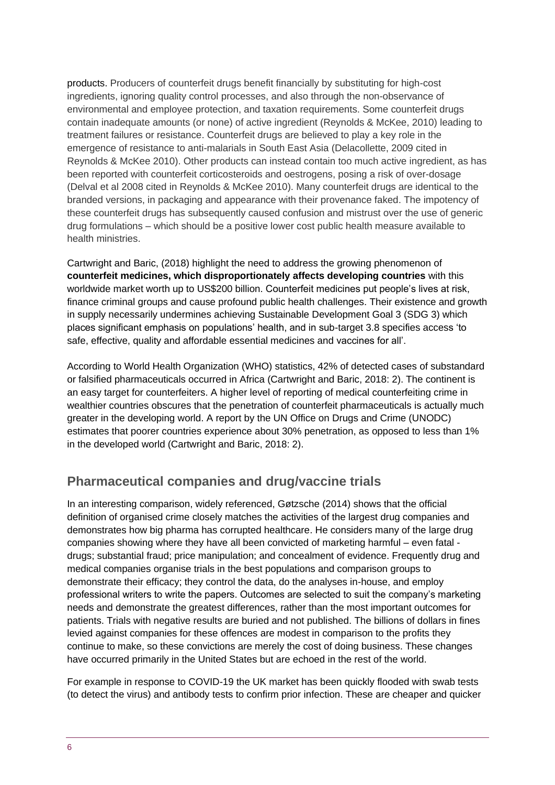products. Producers of counterfeit drugs benefit financially by substituting for high-cost ingredients, ignoring quality control processes, and also through the non-observance of environmental and employee protection, and taxation requirements. Some counterfeit drugs contain inadequate amounts (or none) of active ingredient (Reynolds & McKee, 2010) leading to treatment failures or resistance. Counterfeit drugs are believed to play a key role in the emergence of resistance to anti-malarials in South East Asia (Delacollette, 2009 cited in Reynolds & McKee 2010). Other products can instead contain too much active ingredient, as has been reported with counterfeit corticosteroids and oestrogens, posing a risk of over-dosage (Delval et al 2008 cited in Reynolds & McKee 2010). Many counterfeit drugs are identical to the branded versions, in packaging and appearance with their provenance faked. The impotency of these counterfeit drugs has subsequently caused confusion and mistrust over the use of generic drug formulations – which should be a positive lower cost public health measure available to health ministries.

Cartwright and Baric, (2018) highlight the need to address the growing phenomenon of **counterfeit medicines, which disproportionately affects developing countries** with this worldwide market worth up to US\$200 billion. Counterfeit medicines put people's lives at risk, finance criminal groups and cause profound public health challenges. Their existence and growth in supply necessarily undermines achieving Sustainable Development Goal 3 (SDG 3) which places significant emphasis on populations' health, and in sub-target 3.8 specifies access 'to safe, effective, quality and affordable essential medicines and vaccines for all'.

According to World Health Organization (WHO) statistics, 42% of detected cases of substandard or falsified pharmaceuticals occurred in Africa (Cartwright and Baric, 2018: 2). The continent is an easy target for counterfeiters. A higher level of reporting of medical counterfeiting crime in wealthier countries obscures that the penetration of counterfeit pharmaceuticals is actually much greater in the developing world. A report by the UN Office on Drugs and Crime (UNODC) estimates that poorer countries experience about 30% penetration, as opposed to less than 1% in the developed world (Cartwright and Baric, 2018: 2).

#### **Pharmaceutical companies and drug/vaccine trials**

In an interesting comparison, widely referenced, Gøtzsche (2014) shows that the official definition of organised crime closely matches the activities of the largest drug companies and demonstrates how big pharma has corrupted healthcare. He considers many of the large drug companies showing where they have all been convicted of marketing harmful – even fatal drugs; substantial fraud; price manipulation; and concealment of evidence. Frequently drug and medical companies organise trials in the best populations and comparison groups to demonstrate their efficacy; they control the data, do the analyses in-house, and employ professional writers to write the papers. Outcomes are selected to suit the company's marketing needs and demonstrate the greatest differences, rather than the most important outcomes for patients. Trials with negative results are buried and not published. The billions of dollars in fines levied against companies for these offences are modest in comparison to the profits they continue to make, so these convictions are merely the cost of doing business. These changes have occurred primarily in the United States but are echoed in the rest of the world.

For example in response to COVID-19 the UK market has been quickly flooded with swab tests (to detect the virus) and antibody tests to confirm prior infection. These are cheaper and quicker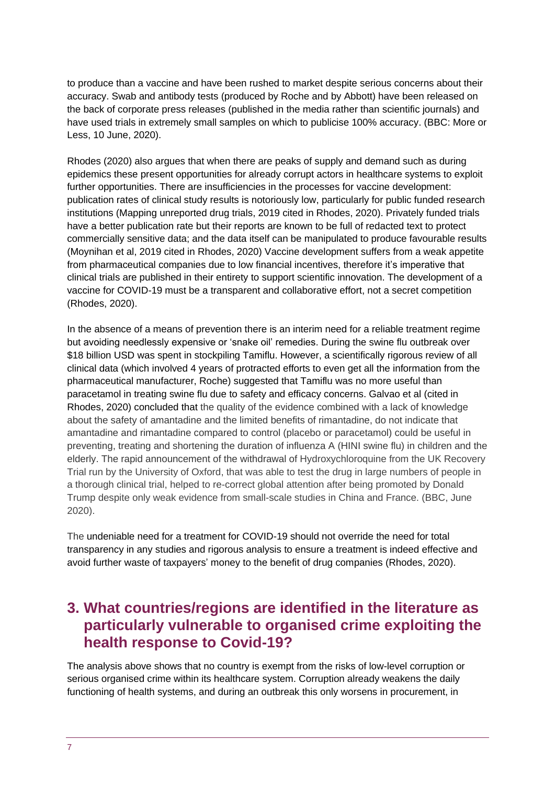to produce than a vaccine and have been rushed to market despite serious concerns about their accuracy. Swab and antibody tests (produced by Roche and by Abbott) have been released on the back of corporate press releases (published in the media rather than scientific journals) and have used trials in extremely small samples on which to publicise 100% accuracy. (BBC: More or Less, 10 June, 2020).

Rhodes (2020) also argues that when there are peaks of supply and demand such as during epidemics these present opportunities for already corrupt actors in healthcare systems to exploit further opportunities. There are insufficiencies in the processes for vaccine development: publication rates of clinical study results is notoriously low, particularly for public funded research institutions (Mapping unreported drug trials, 2019 cited in Rhodes, 2020). Privately funded trials have a better publication rate but their reports are known to be full of redacted text to protect commercially sensitive data; and the data itself can be manipulated to produce favourable results (Moynihan et al, 2019 cited in Rhodes, 2020) Vaccine development suffers from a weak appetite from pharmaceutical companies due to low financial incentives, therefore it's imperative that clinical trials are published in their entirety to support scientific innovation. The development of a vaccine for COVID-19 must be a transparent and collaborative effort, not a secret competition (Rhodes, 2020).

In the absence of a means of prevention there is an interim need for a reliable treatment regime but avoiding needlessly expensive or 'snake oil' remedies. During the swine flu outbreak over \$18 billion USD was spent in stockpiling Tamiflu. However, a scientifically rigorous review of all clinical data (which involved 4 years of protracted efforts to even get all the information from the pharmaceutical manufacturer, Roche) suggested that Tamiflu was no more useful than paracetamol in treating swine flu due to safety and efficacy concerns. Galvao et al (cited in Rhodes, 2020) concluded that the quality of the evidence combined with a lack of knowledge about the safety of amantadine and the limited benefits of rimantadine, do not indicate that amantadine and rimantadine compared to control (placebo or paracetamol) could be useful in preventing, treating and shortening the duration of influenza A (HINI swine flu) in children and the elderly. The rapid announcement of the withdrawal of Hydroxychloroquine from the UK Recovery Trial run by the University of Oxford, that was able to test the drug in large numbers of people in a thorough clinical trial, helped to re-correct global attention after being promoted by Donald Trump despite only weak evidence from small-scale studies in China and France. (BBC, June 2020).

The undeniable need for a treatment for COVID-19 should not override the need for total transparency in any studies and rigorous analysis to ensure a treatment is indeed effective and avoid further waste of taxpayers' money to the benefit of drug companies (Rhodes, 2020).

## <span id="page-6-0"></span>**3. What countries/regions are identified in the literature as particularly vulnerable to organised crime exploiting the health response to Covid-19?**

The analysis above shows that no country is exempt from the risks of low-level corruption or serious organised crime within its healthcare system. Corruption already weakens the daily functioning of health systems, and during an outbreak this only worsens in procurement, in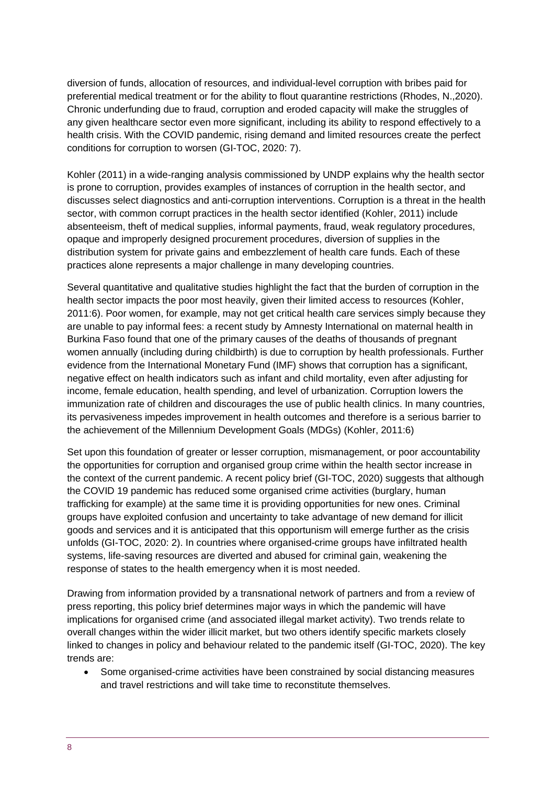diversion of funds, allocation of resources, and individual-level corruption with bribes paid for preferential medical treatment or for the ability to flout quarantine restrictions (Rhodes, N.,2020). Chronic underfunding due to fraud, corruption and eroded capacity will make the struggles of any given healthcare sector even more significant, including its ability to respond effectively to a health crisis. With the COVID pandemic, rising demand and limited resources create the perfect conditions for corruption to worsen (GI-TOC, 2020: 7).

Kohler (2011) in a wide-ranging analysis commissioned by UNDP explains why the health sector is prone to corruption, provides examples of instances of corruption in the health sector, and discusses select diagnostics and anti-corruption interventions. Corruption is a threat in the health sector, with common corrupt practices in the health sector identified (Kohler, 2011) include absenteeism, theft of medical supplies, informal payments, fraud, weak regulatory procedures, opaque and improperly designed procurement procedures, diversion of supplies in the distribution system for private gains and embezzlement of health care funds. Each of these practices alone represents a major challenge in many developing countries.

Several quantitative and qualitative studies highlight the fact that the burden of corruption in the health sector impacts the poor most heavily, given their limited access to resources (Kohler, 2011:6). Poor women, for example, may not get critical health care services simply because they are unable to pay informal fees: a recent study by Amnesty International on maternal health in Burkina Faso found that one of the primary causes of the deaths of thousands of pregnant women annually (including during childbirth) is due to corruption by health professionals. Further evidence from the International Monetary Fund (IMF) shows that corruption has a significant, negative effect on health indicators such as infant and child mortality, even after adjusting for income, female education, health spending, and level of urbanization. Corruption lowers the immunization rate of children and discourages the use of public health clinics. In many countries, its pervasiveness impedes improvement in health outcomes and therefore is a serious barrier to the achievement of the Millennium Development Goals (MDGs) (Kohler, 2011:6)

Set upon this foundation of greater or lesser corruption, mismanagement, or poor accountability the opportunities for corruption and organised group crime within the health sector increase in the context of the current pandemic. A recent policy brief (GI-TOC, 2020) suggests that although the COVID 19 pandemic has reduced some organised crime activities (burglary, human trafficking for example) at the same time it is providing opportunities for new ones. Criminal groups have exploited confusion and uncertainty to take advantage of new demand for illicit goods and services and it is anticipated that this opportunism will emerge further as the crisis unfolds (GI-TOC, 2020: 2). In countries where organised-crime groups have infiltrated health systems, life-saving resources are diverted and abused for criminal gain, weakening the response of states to the health emergency when it is most needed.

Drawing from information provided by a transnational network of partners and from a review of press reporting, this policy brief determines major ways in which the pandemic will have implications for organised crime (and associated illegal market activity). Two trends relate to overall changes within the wider illicit market, but two others identify specific markets closely linked to changes in policy and behaviour related to the pandemic itself (GI-TOC, 2020). The key trends are:

• Some organised-crime activities have been constrained by social distancing measures and travel restrictions and will take time to reconstitute themselves.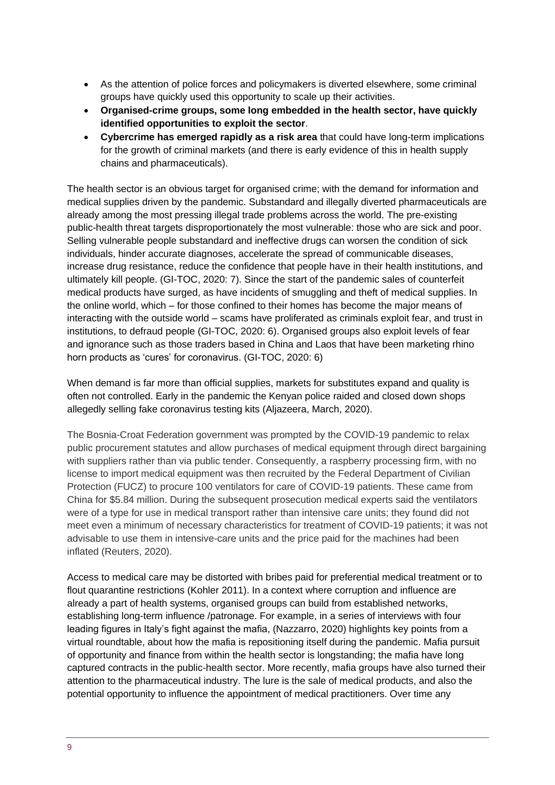- As the attention of police forces and policymakers is diverted elsewhere, some criminal groups have quickly used this opportunity to scale up their activities.
- **Organised-crime groups, some long embedded in the health sector, have quickly identified opportunities to exploit the sector**.
- **Cybercrime has emerged rapidly as a risk area** that could have long-term implications for the growth of criminal markets (and there is early evidence of this in health supply chains and pharmaceuticals).

The health sector is an obvious target for organised crime; with the demand for information and medical supplies driven by the pandemic. Substandard and illegally diverted pharmaceuticals are already among the most pressing illegal trade problems across the world. The pre-existing public-health threat targets disproportionately the most vulnerable: those who are sick and poor. Selling vulnerable people substandard and ineffective drugs can worsen the condition of sick individuals, hinder accurate diagnoses, accelerate the spread of communicable diseases, increase drug resistance, reduce the confidence that people have in their health institutions, and ultimately kill people. (GI-TOC, 2020: 7). Since the start of the pandemic sales of counterfeit medical products have surged, as have incidents of smuggling and theft of medical supplies. In the online world, which – for those confined to their homes has become the major means of interacting with the outside world – scams have proliferated as criminals exploit fear, and trust in institutions, to defraud people (GI-TOC, 2020: 6). Organised groups also exploit levels of fear and ignorance such as those traders based in China and Laos that have been marketing rhino horn products as 'cures' for coronavirus. (GI-TOC, 2020: 6)

When demand is far more than official supplies, markets for substitutes expand and quality is often not controlled. Early in the pandemic the Kenyan police raided and closed down shops allegedly selling fake coronavirus testing kits (Aljazeera, March, 2020).

The Bosnia-Croat Federation government was prompted by the COVID-19 pandemic to relax public procurement statutes and allow purchases of medical equipment through direct bargaining with suppliers rather than via public tender. Consequently, a raspberry processing firm, with no license to import medical equipment was then recruited by the Federal Department of Civilian Protection (FUCZ) to procure 100 ventilators for care of COVID-19 patients. These came from China for \$5.84 million. During the subsequent prosecution medical experts said the ventilators were of a type for use in medical transport rather than intensive care units; they found did not meet even a minimum of necessary characteristics for treatment of COVID-19 patients; it was not advisable to use them in intensive-care units and the price paid for the machines had been inflated (Reuters, 2020).

Access to medical care may be distorted with bribes paid for preferential medical treatment or to flout quarantine restrictions (Kohler 2011). In a context where corruption and influence are already a part of health systems, organised groups can build from established networks, establishing long-term influence /patronage. For example, in a series of interviews with four leading figures in Italy's fight against the mafia, (Nazzarro, 2020) highlights key points from a virtual roundtable, about how the mafia is repositioning itself during the pandemic. Mafia pursuit of opportunity and finance from within the health sector is longstanding; the mafia have long captured contracts in the public-health sector. More recently, mafia groups have also turned their attention to the pharmaceutical industry. The lure is the sale of medical products, and also the potential opportunity to influence the appointment of medical practitioners. Over time any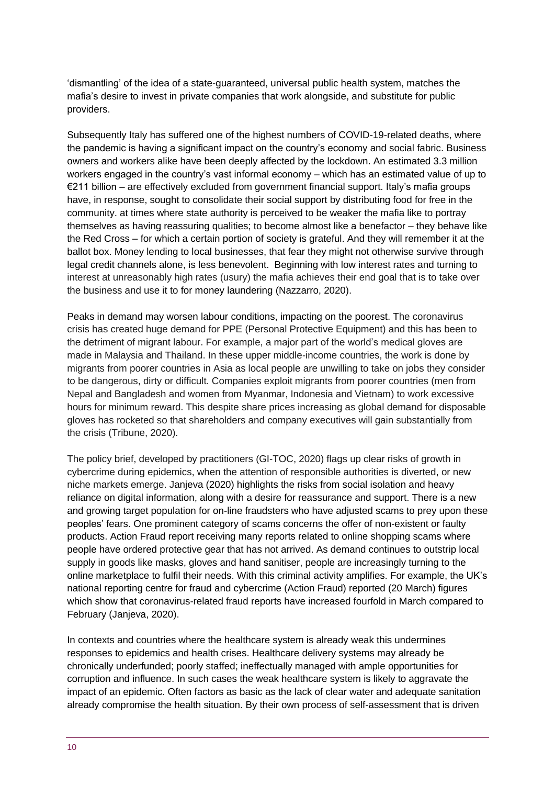'dismantling' of the idea of a state-guaranteed, universal public health system, matches the mafia's desire to invest in private companies that work alongside, and substitute for public providers.

Subsequently Italy has suffered one of the highest numbers of COVID-19-related deaths, where the pandemic is having a significant impact on the country's economy and social fabric. Business owners and workers alike have been deeply affected by the lockdown. An estimated 3.3 million workers engaged in the country's vast informal economy – which has an estimated value of up to €211 billion – are effectively excluded from government financial support. Italy's mafia groups have, in response, sought to consolidate their social support by distributing food for free in the community. at times where state authority is perceived to be weaker the mafia like to portray themselves as having reassuring qualities; to become almost like a benefactor – they behave like the Red Cross – for which a certain portion of society is grateful. And they will remember it at the ballot box. Money lending to local businesses, that fear they might not otherwise survive through legal credit channels alone, is less benevolent. Beginning with low interest rates and turning to interest at unreasonably high rates (usury) the mafia achieves their end goal that is to take over the business and use it to for money laundering (Nazzarro, 2020).

Peaks in demand may worsen labour conditions, impacting on the poorest. The coronavirus crisis has created huge demand for PPE (Personal Protective Equipment) and this has been to the detriment of migrant labour. For example, a major part of the world's medical gloves are made in Malaysia and Thailand. In these upper middle-income countries, the work is done by migrants from poorer countries in Asia as local people are unwilling to take on jobs they consider to be dangerous, dirty or difficult. Companies exploit migrants from poorer countries (men from Nepal and Bangladesh and women from Myanmar, Indonesia and Vietnam) to work excessive hours for minimum reward. This despite share prices increasing as global demand for disposable gloves has rocketed so that shareholders and company executives will gain substantially from the crisis (Tribune, 2020).

The policy brief, developed by practitioners (GI-TOC, 2020) flags up clear risks of growth in cybercrime during epidemics, when the attention of responsible authorities is diverted, or new niche markets emerge. Janjeva (2020) highlights the risks from social isolation and heavy reliance on digital information, along with a desire for reassurance and support. There is a new and growing target population for on-line fraudsters who have adjusted scams to prey upon these peoples' fears. One prominent category of scams concerns the offer of non-existent or faulty products. Action Fraud report receiving many reports related to online shopping scams where people have ordered protective gear that has not arrived. As demand continues to outstrip local supply in goods like masks, gloves and hand sanitiser, people are increasingly turning to the online marketplace to fulfil their needs. With this criminal activity amplifies. For example, the UK's national reporting centre for fraud and cybercrime (Action Fraud) reported (20 March) figures which show that coronavirus-related fraud reports have increased fourfold in March compared to February (Janjeva, 2020).

In contexts and countries where the healthcare system is already weak this undermines responses to epidemics and health crises. Healthcare delivery systems may already be chronically underfunded; poorly staffed; ineffectually managed with ample opportunities for corruption and influence. In such cases the weak healthcare system is likely to aggravate the impact of an epidemic. Often factors as basic as the lack of clear water and adequate sanitation already compromise the health situation. By their own process of self-assessment that is driven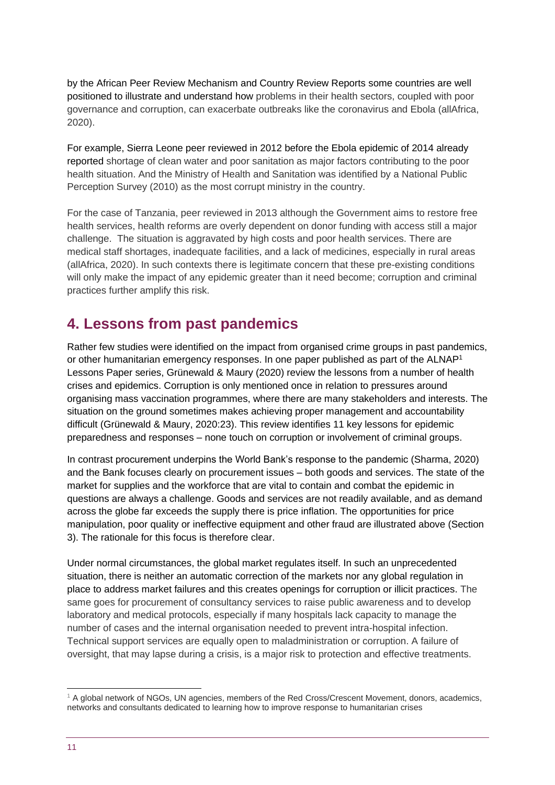by the African Peer Review Mechanism and Country Review Reports some countries are well positioned to illustrate and understand how problems in their health sectors, coupled with poor governance and corruption, can exacerbate outbreaks like the coronavirus and Ebola (allAfrica, 2020).

For example, Sierra Leone peer reviewed in 2012 before the Ebola epidemic of 2014 already reported shortage of clean water and poor sanitation as major factors contributing to the poor health situation. And the Ministry of Health and Sanitation was identified by a National Public Perception Survey (2010) as the most corrupt ministry in the country.

For the case of Tanzania, peer reviewed in 2013 although the Government aims to restore free health services, health reforms are overly dependent on donor funding with access still a major challenge. The situation is aggravated by high costs and poor health services. There are medical staff shortages, inadequate facilities, and a lack of medicines, especially in rural areas (allAfrica, 2020). In such contexts there is legitimate concern that these pre-existing conditions will only make the impact of any epidemic greater than it need become; corruption and criminal practices further amplify this risk.

# <span id="page-10-0"></span>**4. Lessons from past pandemics**

Rather few studies were identified on the impact from organised crime groups in past pandemics, or other humanitarian emergency responses. In one paper published as part of the ALNAP<sup>1</sup> Lessons Paper series, Grünewald & Maury (2020) review the lessons from a number of health crises and epidemics. Corruption is only mentioned once in relation to pressures around organising mass vaccination programmes, where there are many stakeholders and interests. The situation on the ground sometimes makes achieving proper management and accountability difficult (Grünewald & Maury, 2020:23). This review identifies 11 key lessons for epidemic preparedness and responses – none touch on corruption or involvement of criminal groups.

In contrast procurement underpins the World Bank's response to the pandemic (Sharma, 2020) and the Bank focuses clearly on procurement issues – both goods and services. The state of the market for supplies and the workforce that are vital to contain and combat the epidemic in questions are always a challenge. Goods and services are not readily available, and as demand across the globe far exceeds the supply there is price inflation. The opportunities for price manipulation, poor quality or ineffective equipment and other fraud are illustrated above (Section 3). The rationale for this focus is therefore clear.

Under normal circumstances, the global market regulates itself. In such an unprecedented situation, there is neither an automatic correction of the markets nor any global regulation in place to address market failures and this creates openings for corruption or illicit practices. The same goes for procurement of consultancy services to raise public awareness and to develop laboratory and medical protocols, especially if many hospitals lack capacity to manage the number of cases and the internal organisation needed to prevent intra-hospital infection. Technical support services are equally open to maladministration or corruption. A failure of oversight, that may lapse during a crisis, is a major risk to protection and effective treatments.

<sup>1</sup> A global network of NGOs, UN agencies, members of the Red Cross/Crescent Movement, donors, academics, networks and consultants dedicated to learning how to improve response to humanitarian crises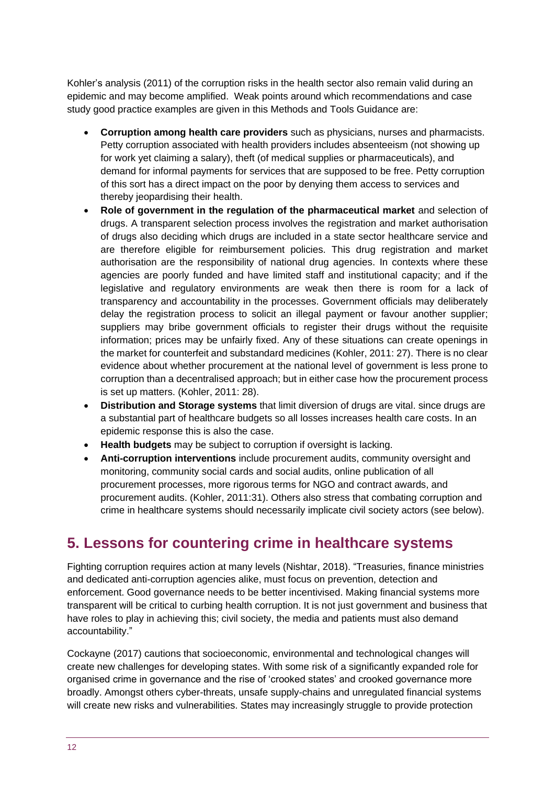Kohler's analysis (2011) of the corruption risks in the health sector also remain valid during an epidemic and may become amplified. Weak points around which recommendations and case study good practice examples are given in this Methods and Tools Guidance are:

- **Corruption among health care providers** such as physicians, nurses and pharmacists. Petty corruption associated with health providers includes absenteeism (not showing up for work yet claiming a salary), theft (of medical supplies or pharmaceuticals), and demand for informal payments for services that are supposed to be free. Petty corruption of this sort has a direct impact on the poor by denying them access to services and thereby jeopardising their health.
- **Role of government in the regulation of the pharmaceutical market** and selection of drugs. A transparent selection process involves the registration and market authorisation of drugs also deciding which drugs are included in a state sector healthcare service and are therefore eligible for reimbursement policies. This drug registration and market authorisation are the responsibility of national drug agencies. In contexts where these agencies are poorly funded and have limited staff and institutional capacity; and if the legislative and regulatory environments are weak then there is room for a lack of transparency and accountability in the processes. Government officials may deliberately delay the registration process to solicit an illegal payment or favour another supplier; suppliers may bribe government officials to register their drugs without the requisite information; prices may be unfairly fixed. Any of these situations can create openings in the market for counterfeit and substandard medicines (Kohler, 2011: 27). There is no clear evidence about whether procurement at the national level of government is less prone to corruption than a decentralised approach; but in either case how the procurement process is set up matters. (Kohler, 2011: 28).
- **Distribution and Storage systems** that limit diversion of drugs are vital. since drugs are a substantial part of healthcare budgets so all losses increases health care costs. In an epidemic response this is also the case.
- **Health budgets** may be subject to corruption if oversight is lacking.
- **Anti-corruption interventions** include procurement audits, community oversight and monitoring, community social cards and social audits, online publication of all procurement processes, more rigorous terms for NGO and contract awards, and procurement audits. (Kohler, 2011:31). Others also stress that combating corruption and crime in healthcare systems should necessarily implicate civil society actors (see below).

## <span id="page-11-0"></span>**5. Lessons for countering crime in healthcare systems**

Fighting corruption requires action at many levels (Nishtar, 2018). "Treasuries, finance ministries and dedicated anti-corruption agencies alike, must focus on prevention, detection and enforcement. Good governance needs to be better incentivised. Making financial systems more transparent will be critical to curbing health corruption. It is not just government and business that have roles to play in achieving this; civil society, the media and patients must also demand accountability."

Cockayne (2017) cautions that socioeconomic, environmental and technological changes will create new challenges for developing states. With some risk of a significantly expanded role for organised crime in governance and the rise of 'crooked states' and crooked governance more broadly. Amongst others cyber-threats, unsafe supply-chains and unregulated financial systems will create new risks and vulnerabilities. States may increasingly struggle to provide protection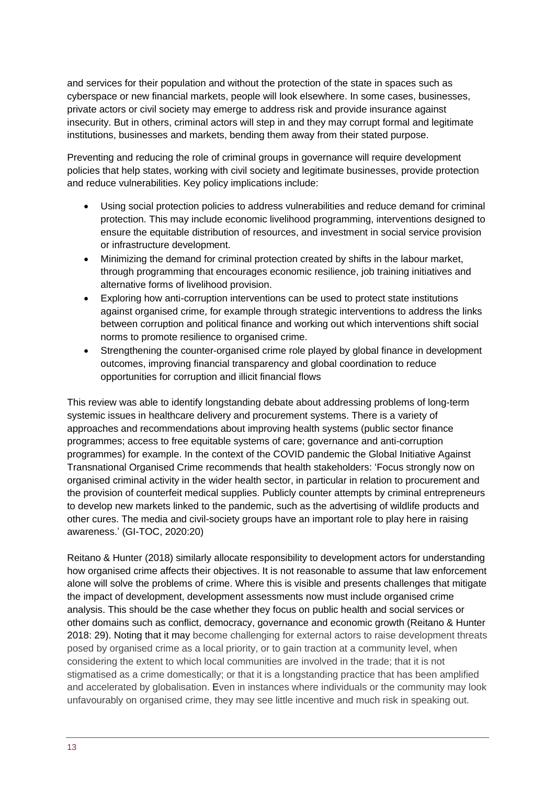and services for their population and without the protection of the state in spaces such as cyberspace or new financial markets, people will look elsewhere. In some cases, businesses, private actors or civil society may emerge to address risk and provide insurance against insecurity. But in others, criminal actors will step in and they may corrupt formal and legitimate institutions, businesses and markets, bending them away from their stated purpose.

Preventing and reducing the role of criminal groups in governance will require development policies that help states, working with civil society and legitimate businesses, provide protection and reduce vulnerabilities. Key policy implications include:

- Using social protection policies to address vulnerabilities and reduce demand for criminal protection. This may include economic livelihood programming, interventions designed to ensure the equitable distribution of resources, and investment in social service provision or infrastructure development.
- Minimizing the demand for criminal protection created by shifts in the labour market, through programming that encourages economic resilience, job training initiatives and alternative forms of livelihood provision.
- Exploring how anti-corruption interventions can be used to protect state institutions against organised crime, for example through strategic interventions to address the links between corruption and political finance and working out which interventions shift social norms to promote resilience to organised crime.
- Strengthening the counter-organised crime role played by global finance in development outcomes, improving financial transparency and global coordination to reduce opportunities for corruption and illicit financial flows

This review was able to identify longstanding debate about addressing problems of long-term systemic issues in healthcare delivery and procurement systems. There is a variety of approaches and recommendations about improving health systems (public sector finance programmes; access to free equitable systems of care; governance and anti-corruption programmes) for example. In the context of the COVID pandemic the Global Initiative Against Transnational Organised Crime recommends that health stakeholders: 'Focus strongly now on organised criminal activity in the wider health sector, in particular in relation to procurement and the provision of counterfeit medical supplies. Publicly counter attempts by criminal entrepreneurs to develop new markets linked to the pandemic, such as the advertising of wildlife products and other cures. The media and civil-society groups have an important role to play here in raising awareness.' (GI-TOC, 2020:20)

Reitano & Hunter (2018) similarly allocate responsibility to development actors for understanding how organised crime affects their objectives. It is not reasonable to assume that law enforcement alone will solve the problems of crime. Where this is visible and presents challenges that mitigate the impact of development, development assessments now must include organised crime analysis. This should be the case whether they focus on public health and social services or other domains such as conflict, democracy, governance and economic growth (Reitano & Hunter 2018: 29). Noting that it may become challenging for external actors to raise development threats posed by organised crime as a local priority, or to gain traction at a community level, when considering the extent to which local communities are involved in the trade; that it is not stigmatised as a crime domestically; or that it is a longstanding practice that has been amplified and accelerated by globalisation. Even in instances where individuals or the community may look unfavourably on organised crime, they may see little incentive and much risk in speaking out.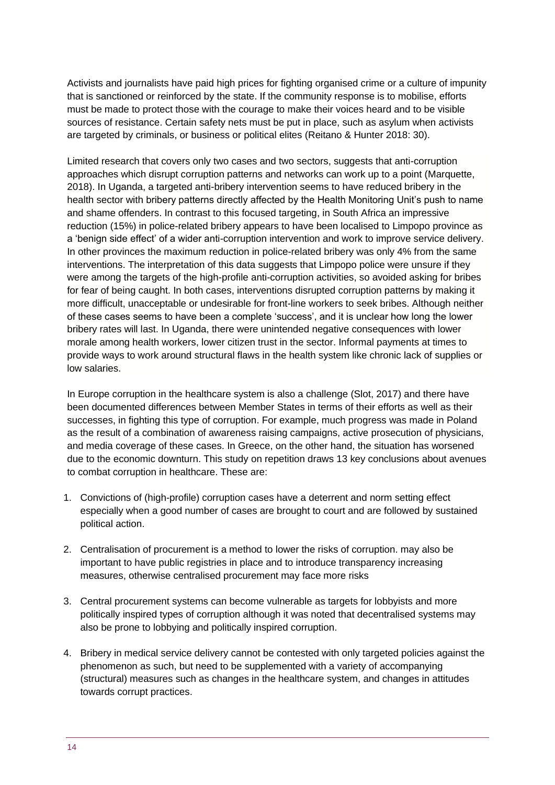Activists and journalists have paid high prices for fighting organised crime or a culture of impunity that is sanctioned or reinforced by the state. If the community response is to mobilise, efforts must be made to protect those with the courage to make their voices heard and to be visible sources of resistance. Certain safety nets must be put in place, such as asylum when activists are targeted by criminals, or business or political elites (Reitano & Hunter 2018: 30).

Limited research that covers only two cases and two sectors, suggests that anti-corruption approaches which disrupt corruption patterns and networks can work up to a point (Marquette, 2018). In Uganda, a targeted anti-bribery intervention seems to have reduced bribery in the health sector with bribery patterns directly affected by the Health Monitoring Unit's push to name and shame offenders. In contrast to this focused targeting, in South Africa an impressive reduction (15%) in police-related bribery appears to have been localised to Limpopo province as a 'benign side effect' of a wider anti-corruption intervention and work to improve service delivery. In other provinces the maximum reduction in police-related bribery was only 4% from the same interventions. The interpretation of this data suggests that Limpopo police were unsure if they were among the targets of the high-profile anti-corruption activities, so avoided asking for bribes for fear of being caught. In both cases, interventions disrupted corruption patterns by making it more difficult, unacceptable or undesirable for front-line workers to seek bribes. Although neither of these cases seems to have been a complete 'success', and it is unclear how long the lower bribery rates will last. In Uganda, there were unintended negative consequences with lower morale among health workers, lower citizen trust in the sector. Informal payments at times to provide ways to work around structural flaws in the health system like chronic lack of supplies or low salaries.

In Europe corruption in the healthcare system is also a challenge (Slot, 2017) and there have been documented differences between Member States in terms of their efforts as well as their successes, in fighting this type of corruption. For example, much progress was made in Poland as the result of a combination of awareness raising campaigns, active prosecution of physicians, and media coverage of these cases. In Greece, on the other hand, the situation has worsened due to the economic downturn. This study on repetition draws 13 key conclusions about avenues to combat corruption in healthcare. These are:

- 1. Convictions of (high-profile) corruption cases have a deterrent and norm setting effect especially when a good number of cases are brought to court and are followed by sustained political action.
- 2. Centralisation of procurement is a method to lower the risks of corruption. may also be important to have public registries in place and to introduce transparency increasing measures, otherwise centralised procurement may face more risks
- 3. Central procurement systems can become vulnerable as targets for lobbyists and more politically inspired types of corruption although it was noted that decentralised systems may also be prone to lobbying and politically inspired corruption.
- 4. Bribery in medical service delivery cannot be contested with only targeted policies against the phenomenon as such, but need to be supplemented with a variety of accompanying (structural) measures such as changes in the healthcare system, and changes in attitudes towards corrupt practices.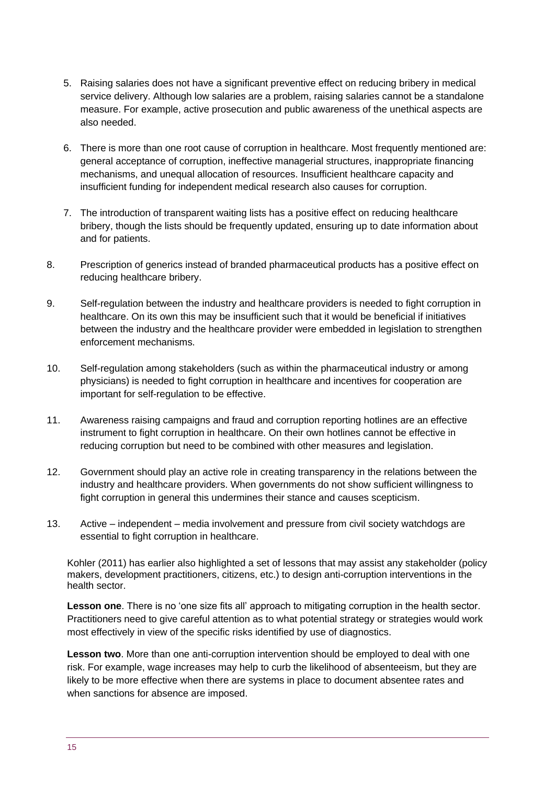- 5. Raising salaries does not have a significant preventive effect on reducing bribery in medical service delivery. Although low salaries are a problem, raising salaries cannot be a standalone measure. For example, active prosecution and public awareness of the unethical aspects are also needed.
- 6. There is more than one root cause of corruption in healthcare. Most frequently mentioned are: general acceptance of corruption, ineffective managerial structures, inappropriate financing mechanisms, and unequal allocation of resources. Insufficient healthcare capacity and insufficient funding for independent medical research also causes for corruption.
- 7. The introduction of transparent waiting lists has a positive effect on reducing healthcare bribery, though the lists should be frequently updated, ensuring up to date information about and for patients.
- 8. Prescription of generics instead of branded pharmaceutical products has a positive effect on reducing healthcare bribery.
- 9. Self-regulation between the industry and healthcare providers is needed to fight corruption in healthcare. On its own this may be insufficient such that it would be beneficial if initiatives between the industry and the healthcare provider were embedded in legislation to strengthen enforcement mechanisms.
- 10. Self-regulation among stakeholders (such as within the pharmaceutical industry or among physicians) is needed to fight corruption in healthcare and incentives for cooperation are important for self-regulation to be effective.
- 11. Awareness raising campaigns and fraud and corruption reporting hotlines are an effective instrument to fight corruption in healthcare. On their own hotlines cannot be effective in reducing corruption but need to be combined with other measures and legislation.
- 12. Government should play an active role in creating transparency in the relations between the industry and healthcare providers. When governments do not show sufficient willingness to fight corruption in general this undermines their stance and causes scepticism.
- 13. Active independent media involvement and pressure from civil society watchdogs are essential to fight corruption in healthcare.

Kohler (2011) has earlier also highlighted a set of lessons that may assist any stakeholder (policy makers, development practitioners, citizens, etc.) to design anti-corruption interventions in the health sector.

**Lesson one**. There is no 'one size fits all' approach to mitigating corruption in the health sector. Practitioners need to give careful attention as to what potential strategy or strategies would work most effectively in view of the specific risks identified by use of diagnostics.

**Lesson two**. More than one anti-corruption intervention should be employed to deal with one risk. For example, wage increases may help to curb the likelihood of absenteeism, but they are likely to be more effective when there are systems in place to document absentee rates and when sanctions for absence are imposed.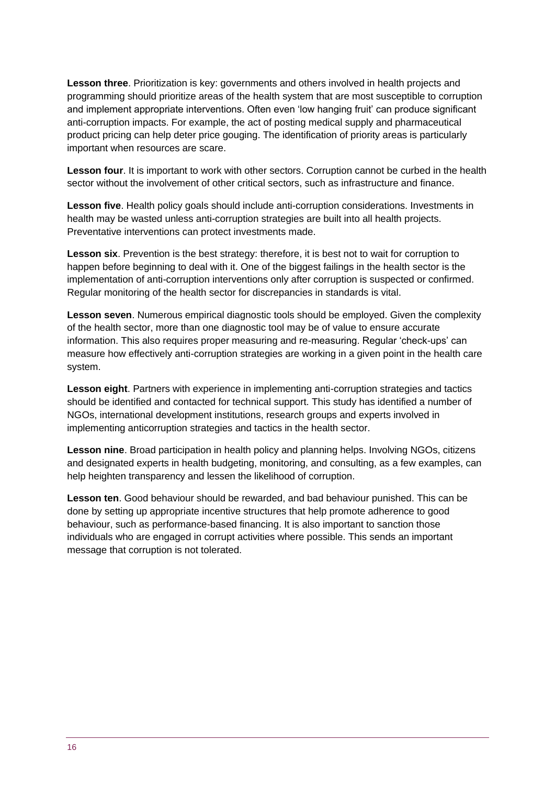**Lesson three**. Prioritization is key: governments and others involved in health projects and programming should prioritize areas of the health system that are most susceptible to corruption and implement appropriate interventions. Often even 'low hanging fruit' can produce significant anti-corruption impacts. For example, the act of posting medical supply and pharmaceutical product pricing can help deter price gouging. The identification of priority areas is particularly important when resources are scare.

**Lesson four**. It is important to work with other sectors. Corruption cannot be curbed in the health sector without the involvement of other critical sectors, such as infrastructure and finance.

**Lesson five**. Health policy goals should include anti-corruption considerations. Investments in health may be wasted unless anti-corruption strategies are built into all health projects. Preventative interventions can protect investments made.

**Lesson six**. Prevention is the best strategy: therefore, it is best not to wait for corruption to happen before beginning to deal with it. One of the biggest failings in the health sector is the implementation of anti-corruption interventions only after corruption is suspected or confirmed. Regular monitoring of the health sector for discrepancies in standards is vital.

**Lesson seven**. Numerous empirical diagnostic tools should be employed. Given the complexity of the health sector, more than one diagnostic tool may be of value to ensure accurate information. This also requires proper measuring and re-measuring. Regular 'check-ups' can measure how effectively anti-corruption strategies are working in a given point in the health care system.

**Lesson eight**. Partners with experience in implementing anti-corruption strategies and tactics should be identified and contacted for technical support. This study has identified a number of NGOs, international development institutions, research groups and experts involved in implementing anticorruption strategies and tactics in the health sector.

**Lesson nine**. Broad participation in health policy and planning helps. Involving NGOs, citizens and designated experts in health budgeting, monitoring, and consulting, as a few examples, can help heighten transparency and lessen the likelihood of corruption.

**Lesson ten**. Good behaviour should be rewarded, and bad behaviour punished. This can be done by setting up appropriate incentive structures that help promote adherence to good behaviour, such as performance-based financing. It is also important to sanction those individuals who are engaged in corrupt activities where possible. This sends an important message that corruption is not tolerated.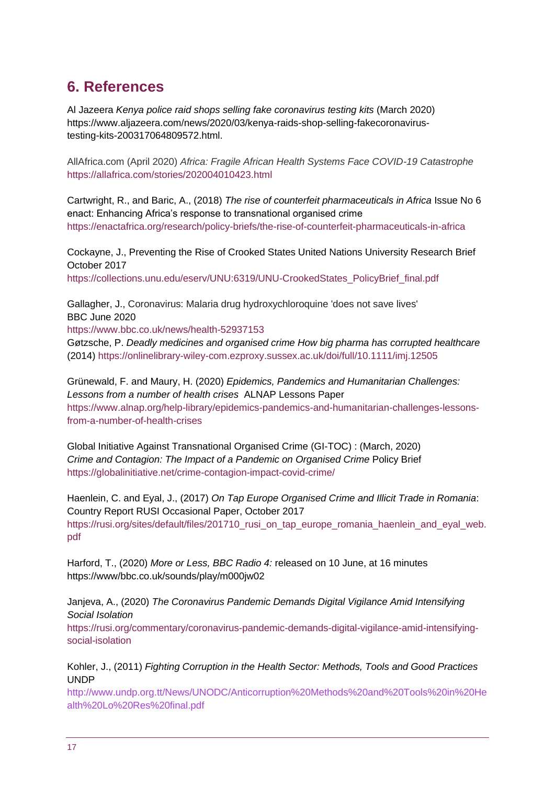# <span id="page-16-0"></span>**6. References**

Al Jazeera *Kenya police raid shops selling fake coronavirus testing kits* (March 2020) https://www.aljazeera.com/news/2020/03/kenya-raids-shop-selling-fakecoronavirustesting-kits-200317064809572.html.

AllAfrica.com (April 2020) *Africa: Fragile African Health Systems Face COVID-19 Catastrophe* <https://allafrica.com/stories/202004010423.html>

Cartwright, R., and Baric, A., (2018) *The rise of counterfeit pharmaceuticals in Africa* Issue No 6 enact: Enhancing Africa's response to transnational organised crime <https://enactafrica.org/research/policy-briefs/the-rise-of-counterfeit-pharmaceuticals-in-africa>

Cockayne, J., Preventing the Rise of Crooked States United Nations University Research Brief October 2017 [https://collections.unu.edu/eserv/UNU:6319/UNU-CrookedStates\\_PolicyBrief\\_final.pdf](https://collections.unu.edu/eserv/UNU:6319/UNU-CrookedStates_PolicyBrief_final.pdf)

Gallagher, J., Coronavirus: Malaria drug hydroxychloroquine 'does not save lives' BBC June 2020

<https://www.bbc.co.uk/news/health-52937153>

Gøtzsche, P. *Deadly medicines and organised crime How big pharma has corrupted healthcare* (2014) <https://onlinelibrary-wiley-com.ezproxy.sussex.ac.uk/doi/full/10.1111/imj.12505>

Grünewald, F. and Maury, H. (2020) *Epidemics, Pandemics and Humanitarian Challenges: Lessons from a number of health crises* ALNAP Lessons Paper [https://www.alnap.org/help-library/epidemics-pandemics-and-humanitarian-challenges-lessons](https://www.alnap.org/help-library/epidemics-pandemics-and-humanitarian-challenges-lessons-from-a-number-of-health-crises)[from-a-number-of-health-crises](https://www.alnap.org/help-library/epidemics-pandemics-and-humanitarian-challenges-lessons-from-a-number-of-health-crises)

Global Initiative Against Transnational Organised Crime (GI-TOC) : (March, 2020) *Crime and Contagion: The Impact of a Pandemic on Organised Crime* Policy Brief <https://globalinitiative.net/crime-contagion-impact-covid-crime/>

Haenlein, C. and Eyal, J., (2017) *On Tap Europe Organised Crime and Illicit Trade in Romania*: Country Report RUSI Occasional Paper, October 2017 [https://rusi.org/sites/default/files/201710\\_rusi\\_on\\_tap\\_europe\\_romania\\_haenlein\\_and\\_eyal\\_web.](https://rusi.org/sites/default/files/201710_rusi_on_tap_europe_romania_haenlein_and_eyal_web.pdf) [pdf](https://rusi.org/sites/default/files/201710_rusi_on_tap_europe_romania_haenlein_and_eyal_web.pdf)

Harford, T., (2020) *More or Less, BBC Radio 4:* released on 10 June, at 16 minutes https://www/bbc.co.uk/sounds/play/m000jw02

Janjeva, A., (2020) *The Coronavirus Pandemic Demands Digital Vigilance Amid Intensifying Social Isolation*

[https://rusi.org/commentary/coronavirus-pandemic-demands-digital-vigilance-amid-intensifying](https://rusi.org/commentary/coronavirus-pandemic-demands-digital-vigilance-amid-intensifying-social-isolation)[social-isolation](https://rusi.org/commentary/coronavirus-pandemic-demands-digital-vigilance-amid-intensifying-social-isolation)

Kohler, J., (2011) *Fighting Corruption in the Health Sector: Methods, Tools and Good Practices* UNDP

[http://www.undp.org.tt/News/UNODC/Anticorruption%20Methods%20and%20Tools%20in%20He](http://www.undp.org.tt/News/UNODC/Anticorruption%20Methods%20and%20Tools%20in%20Health%20Lo%20Res%20final.pdf) [alth%20Lo%20Res%20final.pdf](http://www.undp.org.tt/News/UNODC/Anticorruption%20Methods%20and%20Tools%20in%20Health%20Lo%20Res%20final.pdf)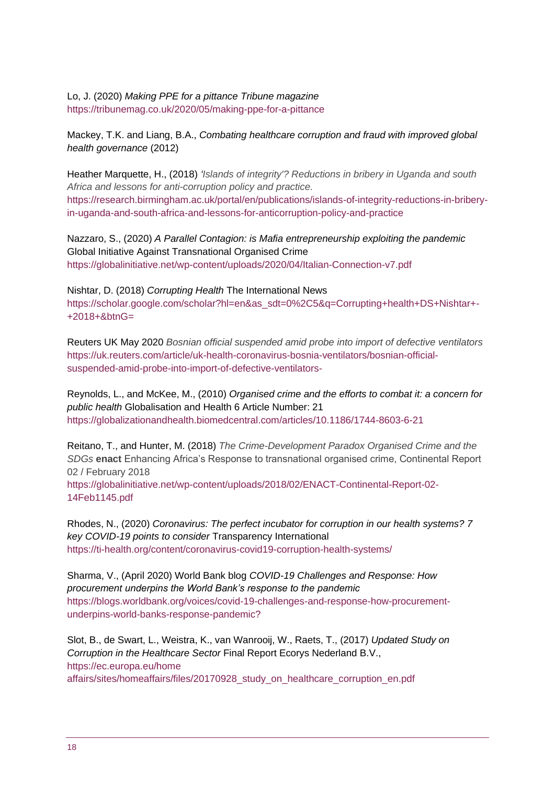Lo, J. (2020) *Making PPE for a pittance Tribune magazine* <https://tribunemag.co.uk/2020/05/making-ppe-for-a-pittance>

Mackey, T.K. and Liang, B.A., *Combating healthcare corruption and fraud with improved global health governance* (2012)

Heather Marquette, H., (2018) *['Islands of integrity'? Reductions in bribery in Uganda and south](https://research.birmingham.ac.uk/portal/en/publications/islands-of-integrity-reductions-in-bribery-in-uganda-and-south-africa-and-lessons-for-anticorruption-policy-and-practice(97f73daf-b427-4b86-9cfb-46c87191b4ed).html)  [Africa and lessons for anti-corruption policy and practice.](https://research.birmingham.ac.uk/portal/en/publications/islands-of-integrity-reductions-in-bribery-in-uganda-and-south-africa-and-lessons-for-anticorruption-policy-and-practice(97f73daf-b427-4b86-9cfb-46c87191b4ed).html)* [https://research.birmingham.ac.uk/portal/en/publications/islands-of-integrity-reductions-in-bribery](https://research.birmingham.ac.uk/portal/en/publications/islands-of-integrity-reductions-in-bribery-in-uganda-and-south-africa-and-lessons-for-anticorruption-policy-and-practice)[in-uganda-and-south-africa-and-lessons-for-anticorruption-policy-and-practice](https://research.birmingham.ac.uk/portal/en/publications/islands-of-integrity-reductions-in-bribery-in-uganda-and-south-africa-and-lessons-for-anticorruption-policy-and-practice)

Nazzaro, S., (2020) *A Parallel Contagion: is Mafia entrepreneurship exploiting the pandemic* Global Initiative Against Transnational Organised Crime <https://globalinitiative.net/wp-content/uploads/2020/04/Italian-Connection-v7.pdf>

Nishtar, D. (2018) *Corrupting Health* The International News [https://scholar.google.com/scholar?hl=en&as\\_sdt=0%2C5&q=Corrupting+health+DS+Nishtar+-](https://scholar.google.com/scholar?hl=en&as_sdt=0%2C5&q=Corrupting+health+DS+Nishtar+-+2018+&btnG=) [+2018+&btnG=](https://scholar.google.com/scholar?hl=en&as_sdt=0%2C5&q=Corrupting+health+DS+Nishtar+-+2018+&btnG=)

Reuters UK May 2020 *Bosnian official suspended amid probe into import of defective ventilators* [https://uk.reuters.com/article/uk-health-coronavirus-bosnia-ventilators/bosnian-official](https://uk.reuters.com/article/uk-health-coronavirus-bosnia-ventilators/bosnian-official-suspended-amid-probe-into-import-of-defective-ventilators-)[suspended-amid-probe-into-import-of-defective-ventilators-](https://uk.reuters.com/article/uk-health-coronavirus-bosnia-ventilators/bosnian-official-suspended-amid-probe-into-import-of-defective-ventilators-)

Reynolds, L., and McKee, M., (2010) *Organised crime and the efforts to combat it: a concern for public health* Globalisation and Health 6 Article Number: 21 <https://globalizationandhealth.biomedcentral.com/articles/10.1186/1744-8603-6-21>

Reitano, T., and Hunter, M. (2018) *The Crime-Development Paradox Organised Crime and the SDGs* **enact** Enhancing Africa's Response to transnational organised crime, Continental Report 02 / February 2018

[https://globalinitiative.net/wp-content/uploads/2018/02/ENACT-Continental-Report-02-](https://globalinitiative.net/wp-content/uploads/2018/02/ENACT-Continental-Report-02-14Feb1145.pdf) [14Feb1145.pdf](https://globalinitiative.net/wp-content/uploads/2018/02/ENACT-Continental-Report-02-14Feb1145.pdf)

Rhodes, N., (2020) *Coronavirus: The perfect incubator for corruption in our health systems? 7 key COVID-19 points to consider* Transparency International <https://ti-health.org/content/coronavirus-covid19-corruption-health-systems/>

Sharma, V., (April 2020) World Bank blog *COVID-19 Challenges and Response: How procurement underpins the World Bank's response to the pandemic* [https://blogs.worldbank.org/voices/covid-19-challenges-and-response-how-procurement](https://blogs.worldbank.org/voices/covid-19-challenges-and-response-how-procurement-underpins-world-banks-response-pandemic?)[underpins-world-banks-response-pandemic?](https://blogs.worldbank.org/voices/covid-19-challenges-and-response-how-procurement-underpins-world-banks-response-pandemic?)

Slot, B., de Swart, L., Weistra, K., van Wanrooij, W., Raets, T., (2017) *Updated Study on Corruption in the Healthcare Sector* Final Report Ecorys Nederland B.V., [https://ec.europa.eu/home](https://ec.europa.eu/home%20affairs/sites/homeaffairs/files/20170928_study_on_healthcare_corruption_en.pdf)  [affairs/sites/homeaffairs/files/20170928\\_study\\_on\\_healthcare\\_corruption\\_en.pdf](https://ec.europa.eu/home%20affairs/sites/homeaffairs/files/20170928_study_on_healthcare_corruption_en.pdf)